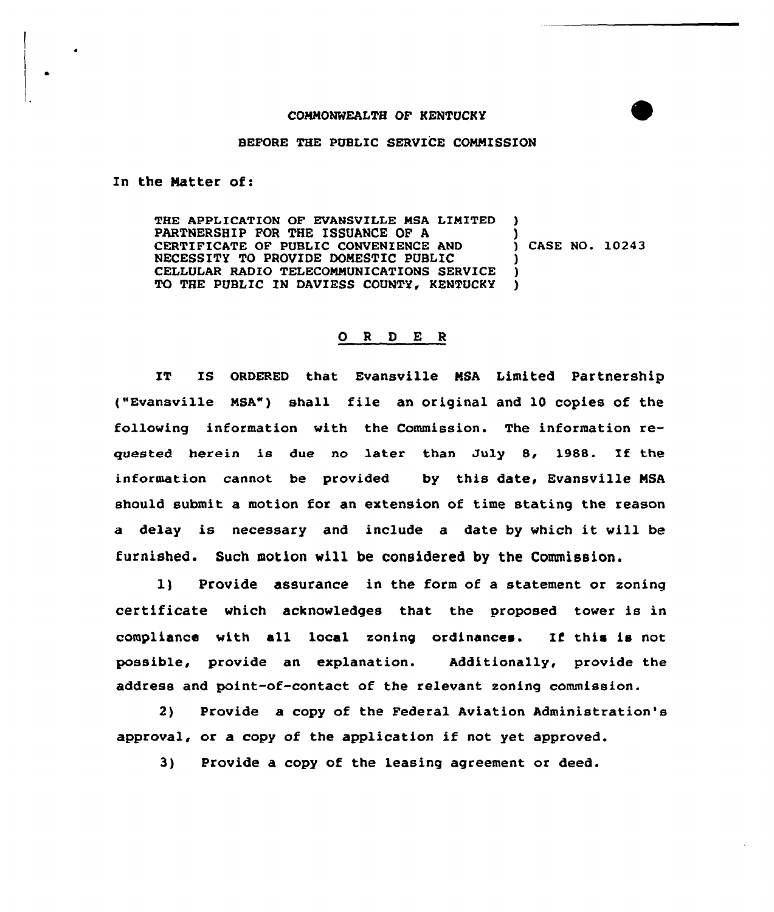## COMMONWEALTH QF KENTUCKY

## BEFORE THE PUBLIC SERVICE COMMISSION

In the Matter of:

THE APPLICATION OF EVANSVILLE MSA LIMITED PARTNERSHIP FOR THE ISSUANCE OF A CERTIFICATE OF PUBLIC CONVENIENCE AND NECESSITY TO PROVIDE DOMESTIC PUBLIC CELLULAR RADIO TELECOMMUNICATIONS SERVICE TO THE PUBLIC IN DAVIESS COUNTY, KENTUCKY ) ) ) ) CASE NO. 10243 ) )

## 0 <sup>R</sup> <sup>D</sup> E <sup>R</sup>

IT IS ORDERED that Evansville MSA Limited Partnership ("Evansville MSA") shall file an original and <sup>10</sup> copies of the following information with the Commission. The information requested herein is due no later than July 8, 1988. If the information cannot be provided by this date, Evansville MSA should submit a motion for an extension of time stating the reason <sup>a</sup> delay is necessary and include <sup>a</sup> date by which it will be furnished. Such motion will be considered by the Commission.

1) Provide assurance in the form of a statement or zoning certificate which acknowledges that the proposed tower is in compliance with all local zoning ordinances. If this is not possible, provide an explanation. Additionally, provide the address and point-of-contact of the relevant zoning commission.

2) Provide a copy of the Federal Aviation Administration's approval, or <sup>a</sup> copy of the application if not yet approved.

3) Provide a copy of the leasing agreement or deed.